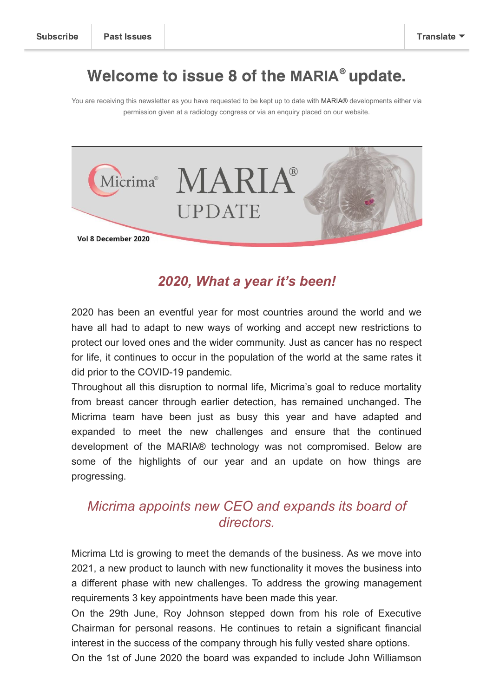## Welcome to issue 8 of the MARIA<sup>®</sup> update.

You are receiving this newsletter as you have requested to be kept up to date with MARIA® developments either via permission given at a radiology congress or via an enquiry placed on our website.



#### *2020, What a year it's been!*

2020 has been an eventful year for most countries around the world and we have all had to adapt to new ways of working and accept new restrictions to protect our loved ones and the wider community. Just as cancer has no respect for life, it continues to occur in the population of the world at the same rates it did prior to the COVID-19 pandemic.

Throughout all this disruption to normal life, Micrima's goal to reduce mortality from breast cancer through earlier detection, has remained unchanged. The Micrima team have been just as busy this year and have adapted and expanded to meet the new challenges and ensure that the continued development of the MARIA® technology was not compromised. Below are some of the highlights of our year and an update on how things are progressing.

### *Micrima appoints new CEO and expands its board of directors.*

Micrima Ltd is growing to meet the demands of the business. As we move into 2021, a new product to launch with new functionality it moves the business into a different phase with new challenges. To address the growing management requirements 3 key appointments have been made this year.

On the 29th June, Roy Johnson stepped down from his role of Executive Chairman for personal reasons. He continues to retain a significant financial interest in the success of the company through his fully vested share options. On the 1st of June 2020 the board was expanded to include John Williamson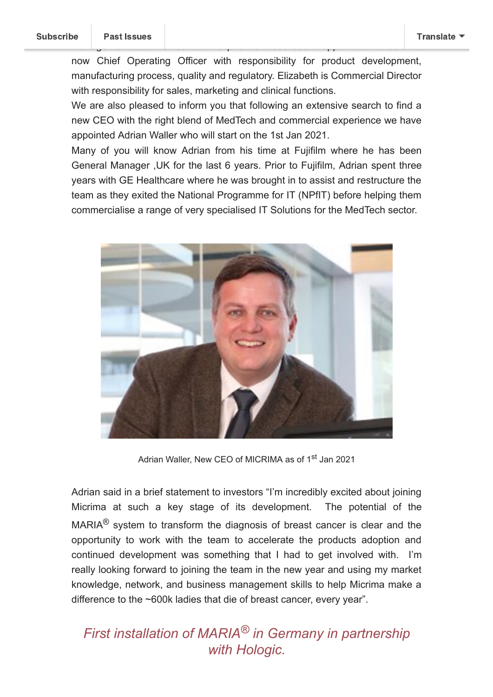now Chief Operating Officer with responsibility for product development, manufacturing process, quality and regulatory. Elizabeth is Commercial Director with responsibility for sales, marketing and clinical functions.

management team for some time prior to these board appointments. John is

We are also pleased to inform you that following an extensive search to find a new CEO with the right blend of MedTech and commercial experience we have appointed Adrian Waller who will start on the 1st Jan 2021.

Many of you will know Adrian from his time at Fujifilm where he has been General Manager ,UK for the last 6 years. Prior to Fujifilm, Adrian spent three years with GE Healthcare where he was brought in to assist and restructure the team as they exited the National Programme for IT (NPfIT) before helping them commercialise a range of very specialised IT Solutions for the MedTech sector.



Adrian Waller, New CEO of MICRIMA as of 1<sup>st</sup> Jan 2021

Adrian said in a brief statement to investors "I'm incredibly excited about joining Micrima at such a key stage of its development. The potential of the MARIA<sup>®</sup> system to transform the diagnosis of breast cancer is clear and the opportunity to work with the team to accelerate the products adoption and continued development was something that I had to get involved with. I'm really looking forward to joining the team in the new year and using my market knowledge, network, and business management skills to help Micrima make a difference to the ~600k ladies that die of breast cancer, every year".

## *First installation of MARIA® in Germany in partnership with Hologic.*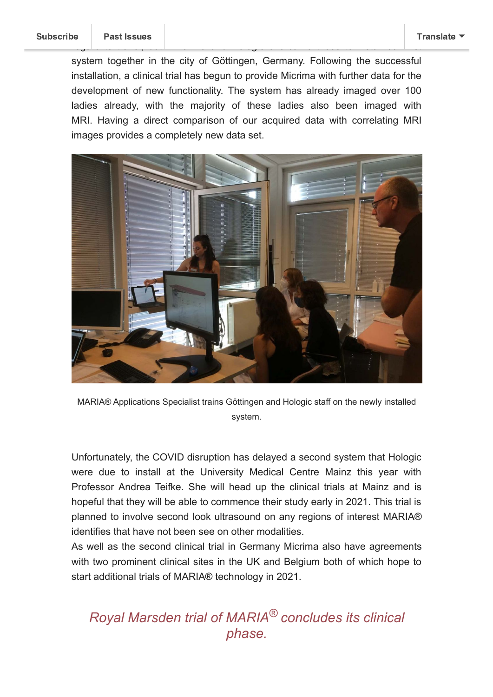system together in the city of Göttingen, Germany. Following the successful installation, a clinical trial has begun to provide Micrima with further data for the development of new functionality. The system has already imaged over 100 ladies already, with the majority of these ladies also been imaged with MRI. Having a direct comparison of our acquired data with correlating MRI images provides a completely new data set.

regard to travel, both Micrima and Hologic overcame these to install our first



MARIA® Applications Specialist trains Göttingen and Hologic staff on the newly installed system.

Unfortunately, the COVID disruption has delayed a second system that Hologic were due to install at the University Medical Centre Mainz this year with Professor Andrea Teifke. She will head up the clinical trials at Mainz and is hopeful that they will be able to commence their study early in 2021. This trial is planned to involve second look ultrasound on any regions of interest MARIA® identifies that have not been see on other modalities.

As well as the second clinical trial in Germany Micrima also have agreements with two prominent clinical sites in the UK and Belgium both of which hope to start additional trials of MARIA® technology in 2021.

## *Royal Marsden trial of MARIA® concludes its clinical phase.*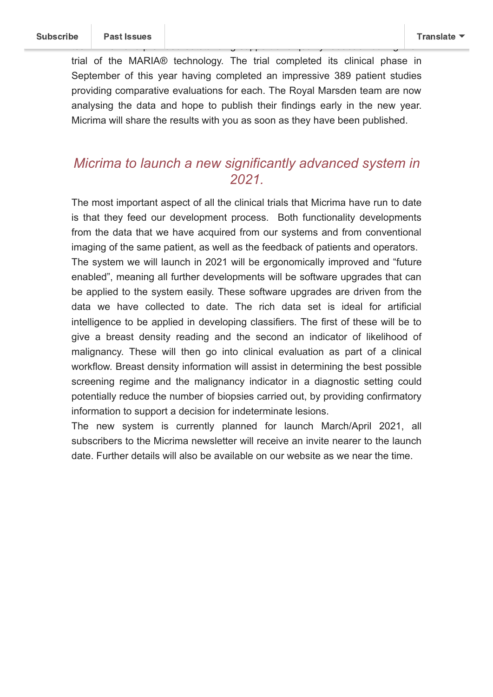trial of the MARIA® technology. The trial completed its clinical phase in September of this year having completed an impressive 389 patient studies providing comparative evaluations for each. The Royal Marsden team are now analysing the data and hope to publish their findings early in the new year. Micrima will share the results with you as soon as they have been published.

team who have provided outstanding support and  $\mathcal{G}$  feedback during the support and  $\mathcal{G}$ 

### *Micrima to launch a new significantly advanced system in 2021.*

The most important aspect of all the clinical trials that Micrima have run to date is that they feed our development process. Both functionality developments from the data that we have acquired from our systems and from conventional imaging of the same patient, as well as the feedback of patients and operators. The system we will launch in 2021 will be ergonomically improved and "future enabled", meaning all further developments will be software upgrades that can be applied to the system easily. These software upgrades are driven from the data we have collected to date. The rich data set is ideal for artificial intelligence to be applied in developing classifiers. The first of these will be to give a breast density reading and the second an indicator of likelihood of malignancy. These will then go into clinical evaluation as part of a clinical workflow. Breast density information will assist in determining the best possible screening regime and the malignancy indicator in a diagnostic setting could potentially reduce the number of biopsies carried out, by providing confirmatory information to support a decision for indeterminate lesions.

The new system is currently planned for launch March/April 2021, all subscribers to the Micrima newsletter will receive an invite nearer to the launch date. Further details will also be available on our website as we near the time.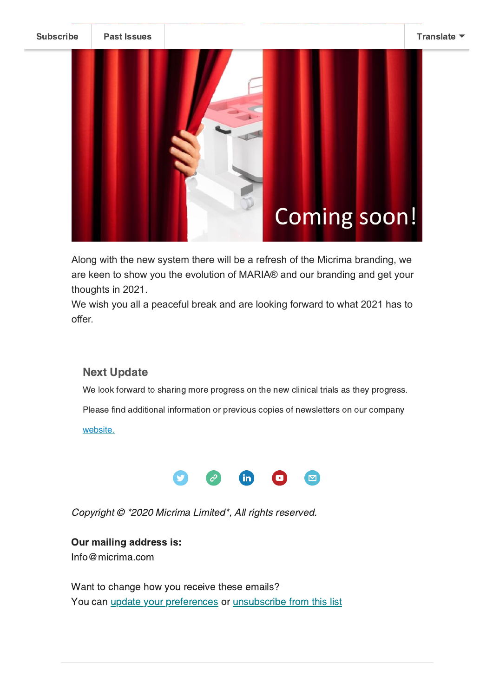[Subscribe](http://eepurl.com/dCynQ1) Past [Issues](https://us14.campaign-archive.com/home/?u=4f5cb6905c31d17af3733c586&id=23bb92acfc) [Translate](javascript:;)



# **Coming soon!**

Along with the new system there will be a refresh of the Micrima branding, we are keen to show you the evolution of MARIA® and our branding and get your thoughts in 2021.

We wish you all a peaceful break and are looking forward to what 2021 has to offer.

#### Next Update

We look forward to sharing more progress on the new clinical trials as they progress.

Please find additional information or previous copies of newsletters on our company

[website.](http://micrima.com/)



Copyright © \*2020 Micrima Limited\*, All rights reserved.

Our mailing address is: Info@micrima.com

Want to change how you receive these emails? You can *update your [preferences](https://micrima.us14.list-manage.com/profile?u=4f5cb6905c31d17af3733c586&id=23bb92acfc&e=[UNIQID]&c=9998a8351b)* or *[unsubscribe](https://micrima.us14.list-manage.com/unsubscribe?u=4f5cb6905c31d17af3733c586&id=23bb92acfc&e=[UNIQID]&c=9998a8351b) from this list*